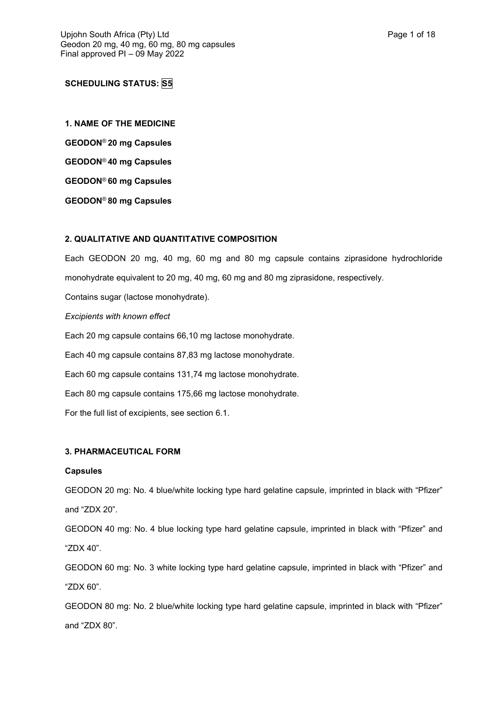# **SCHEDULING STATUS: S5**

**1. NAME OF THE MEDICINE GEODON**® **20 mg Capsules GEODON**® **40 mg Capsules GEODON**® **60 mg Capsules GEODON**® **80 mg Capsules**

## **2. QUALITATIVE AND QUANTITATIVE COMPOSITION**

Each GEODON 20 mg, 40 mg, 60 mg and 80 mg capsule contains ziprasidone hydrochloride monohydrate equivalent to 20 mg, 40 mg, 60 mg and 80 mg ziprasidone, respectively. Contains sugar (lactose monohydrate). *Excipients with known effect* Each 20 mg capsule contains 66,10 mg lactose monohydrate. Each 40 mg capsule contains 87,83 mg lactose monohydrate. Each 60 mg capsule contains 131,74 mg lactose monohydrate. Each 80 mg capsule contains 175,66 mg lactose monohydrate. For the full list of excipients, see section 6.1.

## **3. PHARMACEUTICAL FORM**

### **Capsules**

GEODON 20 mg: No. 4 blue/white locking type hard gelatine capsule, imprinted in black with "Pfizer" and "ZDX 20".

GEODON 40 mg: No. 4 blue locking type hard gelatine capsule, imprinted in black with "Pfizer" and "ZDX 40".

GEODON 60 mg: No. 3 white locking type hard gelatine capsule, imprinted in black with "Pfizer" and "ZDX 60".

GEODON 80 mg: No. 2 blue/white locking type hard gelatine capsule, imprinted in black with "Pfizer" and "ZDX 80".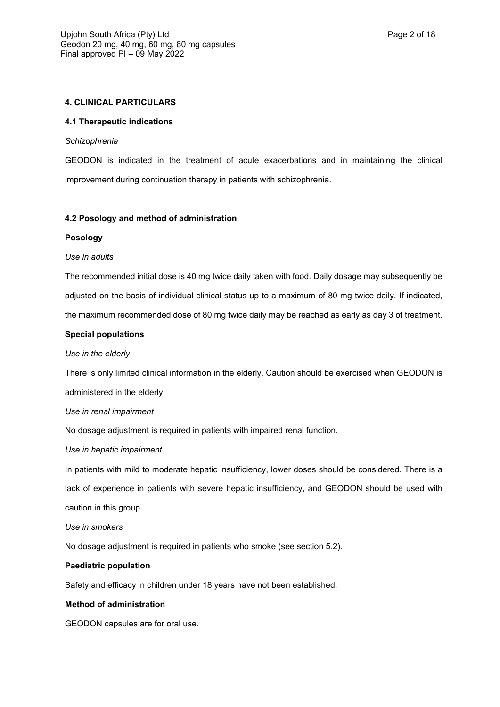## **4. CLINICAL PARTICULARS**

### **4.1 Therapeutic indications**

#### *Schizophrenia*

GEODON is indicated in the treatment of acute exacerbations and in maintaining the clinical improvement during continuation therapy in patients with schizophrenia.

### **4.2 Posology and method of administration**

#### **Posology**

### *Use in adults*

The recommended initial dose is 40 mg twice daily taken with food. Daily dosage may subsequently be adjusted on the basis of individual clinical status up to a maximum of 80 mg twice daily. If indicated, the maximum recommended dose of 80 mg twice daily may be reached as early as day 3 of treatment.

### **Special populations**

#### *Use in the elderly*

There is only limited clinical information in the elderly. Caution should be exercised when GEODON is administered in the elderly.

### *Use in renal impairment*

No dosage adjustment is required in patients with impaired renal function.

### *Use in hepatic impairment*

In patients with mild to moderate hepatic insufficiency, lower doses should be considered. There is a lack of experience in patients with severe hepatic insufficiency, and GEODON should be used with caution in this group.

### *Use in smokers*

No dosage adjustment is required in patients who smoke (see section 5.2).

### **Paediatric population**

Safety and efficacy in children under 18 years have not been established.

### **Method of administration**

GEODON capsules are for oral use.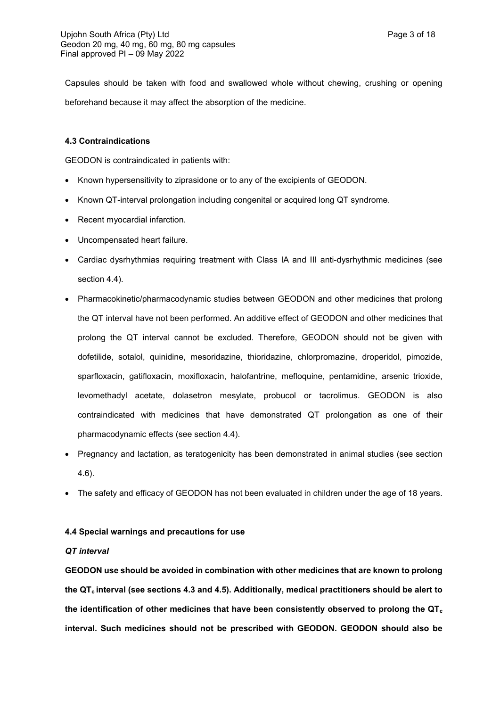Capsules should be taken with food and swallowed whole without chewing, crushing or opening beforehand because it may affect the absorption of the medicine.

## **4.3 Contraindications**

GEODON is contraindicated in patients with:

- Known hypersensitivity to ziprasidone or to any of the excipients of GEODON.
- Known QT-interval prolongation including congenital or acquired long QT syndrome.
- Recent myocardial infarction.
- Uncompensated heart failure.
- Cardiac dysrhythmias requiring treatment with Class IA and III anti-dysrhythmic medicines (see section 4.4).
- Pharmacokinetic/pharmacodynamic studies between GEODON and other medicines that prolong the QT interval have not been performed. An additive effect of GEODON and other medicines that prolong the QT interval cannot be excluded. Therefore, GEODON should not be given with dofetilide, sotalol, quinidine, mesoridazine, thioridazine, chlorpromazine, droperidol, pimozide, sparfloxacin, gatifloxacin, moxifloxacin, halofantrine, mefloquine, pentamidine, arsenic trioxide, levomethadyl acetate, dolasetron mesylate, probucol or tacrolimus. GEODON is also contraindicated with medicines that have demonstrated QT prolongation as one of their pharmacodynamic effects (see section 4.4).
- Pregnancy and lactation, as teratogenicity has been demonstrated in animal studies (see section 4.6).
- The safety and efficacy of GEODON has not been evaluated in children under the age of 18 years.

### **4.4 Special warnings and precautions for use**

### *QT interval*

**GEODON use should be avoided in combination with other medicines that are known to prolong the QTc interval (see sections 4.3 and 4.5). Additionally, medical practitioners should be alert to the identification of other medicines that have been consistently observed to prolong the QT<sup>c</sup> interval. Such medicines should not be prescribed with GEODON. GEODON should also be**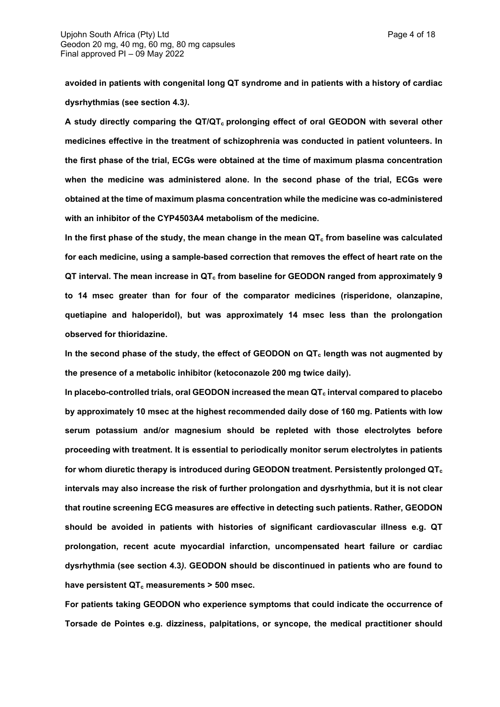**avoided in patients with congenital long QT syndrome and in patients with a history of cardiac dysrhythmias (see section 4.3***)***.**

**A study directly comparing the QT/QTc prolonging effect of oral GEODON with several other medicines effective in the treatment of schizophrenia was conducted in patient volunteers. In the first phase of the trial, ECGs were obtained at the time of maximum plasma concentration when the medicine was administered alone. In the second phase of the trial, ECGs were obtained at the time of maximum plasma concentration while the medicine was co-administered with an inhibitor of the CYP4503A4 metabolism of the medicine.**

**In the first phase of the study, the mean change in the mean QT<sup>c</sup> from baseline was calculated for each medicine, using a sample-based correction that removes the effect of heart rate on the QT interval. The mean increase in QT<sup>c</sup> from baseline for GEODON ranged from approximately 9 to 14 msec greater than for four of the comparator medicines (risperidone, olanzapine, quetiapine and haloperidol), but was approximately 14 msec less than the prolongation observed for thioridazine.**

**In the second phase of the study, the effect of GEODON on QT<sup>c</sup> length was not augmented by the presence of a metabolic inhibitor (ketoconazole 200 mg twice daily).**

**In placebo-controlled trials, oral GEODON increased the mean QT<sup>c</sup> interval compared to placebo by approximately 10 msec at the highest recommended daily dose of 160 mg. Patients with low serum potassium and/or magnesium should be repleted with those electrolytes before proceeding with treatment. It is essential to periodically monitor serum electrolytes in patients for whom diuretic therapy is introduced during GEODON treatment. Persistently prolonged QT<sup>c</sup> intervals may also increase the risk of further prolongation and dysrhythmia, but it is not clear that routine screening ECG measures are effective in detecting such patients. Rather, GEODON should be avoided in patients with histories of significant cardiovascular illness e.g. QT prolongation, recent acute myocardial infarction, uncompensated heart failure or cardiac dysrhythmia (see section 4.3***)***. GEODON should be discontinued in patients who are found to have persistent QT<sup>c</sup> measurements > 500 msec.**

**For patients taking GEODON who experience symptoms that could indicate the occurrence of Torsade de Pointes e.g. dizziness, palpitations, or syncope, the medical practitioner should**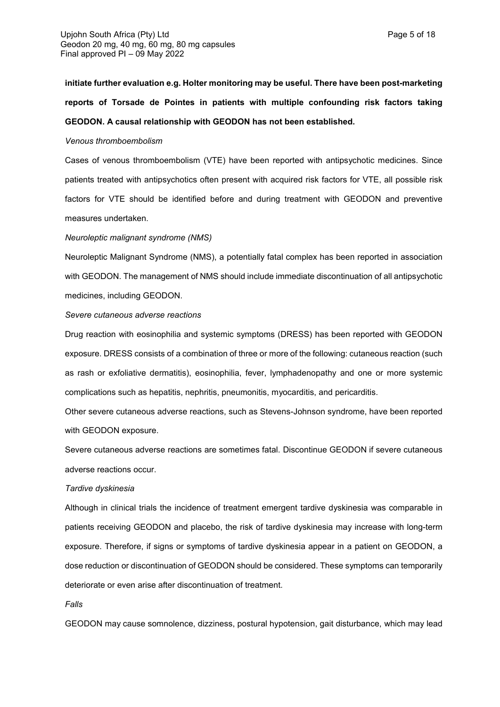**initiate further evaluation e.g. Holter monitoring may be useful. There have been post-marketing reports of Torsade de Pointes in patients with multiple confounding risk factors taking GEODON. A causal relationship with GEODON has not been established.**

#### *Venous thromboembolism*

Cases of venous thromboembolism (VTE) have been reported with antipsychotic medicines. Since patients treated with antipsychotics often present with acquired risk factors for VTE, all possible risk factors for VTE should be identified before and during treatment with GEODON and preventive measures undertaken.

#### *Neuroleptic malignant syndrome (NMS)*

Neuroleptic Malignant Syndrome (NMS), a potentially fatal complex has been reported in association with GEODON. The management of NMS should include immediate discontinuation of all antipsychotic medicines, including GEODON.

#### *Severe cutaneous adverse reactions*

Drug reaction with eosinophilia and systemic symptoms (DRESS) has been reported with GEODON exposure. DRESS consists of a combination of three or more of the following: cutaneous reaction (such as rash or exfoliative dermatitis), eosinophilia, fever, lymphadenopathy and one or more systemic complications such as hepatitis, nephritis, pneumonitis, myocarditis, and pericarditis.

Other severe cutaneous adverse reactions, such as Stevens-Johnson syndrome, have been reported with GEODON exposure.

Severe cutaneous adverse reactions are sometimes fatal. Discontinue GEODON if severe cutaneous adverse reactions occur.

#### *Tardive dyskinesia*

Although in clinical trials the incidence of treatment emergent tardive dyskinesia was comparable in patients receiving GEODON and placebo, the risk of tardive dyskinesia may increase with long-term exposure. Therefore, if signs or symptoms of tardive dyskinesia appear in a patient on GEODON, a dose reduction or discontinuation of GEODON should be considered. These symptoms can temporarily deteriorate or even arise after discontinuation of treatment.

#### *Falls*

GEODON may cause somnolence, dizziness, postural hypotension, gait disturbance, which may lead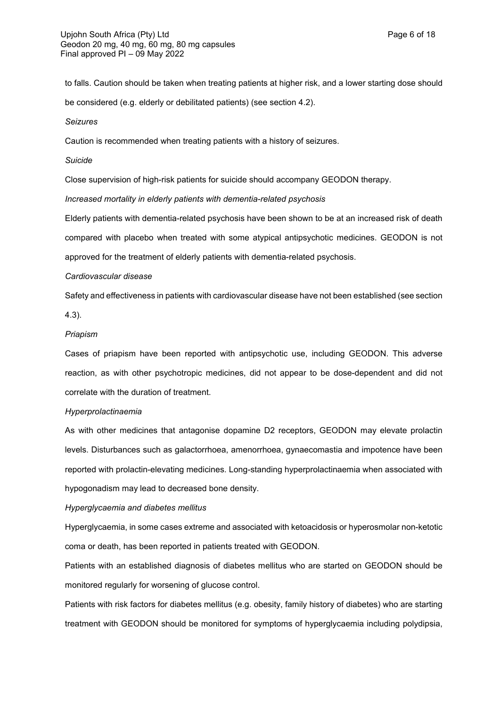to falls. Caution should be taken when treating patients at higher risk, and a lower starting dose should be considered (e.g. elderly or debilitated patients) (see section 4.2).

*Seizures*

Caution is recommended when treating patients with a history of seizures.

*Suicide*

Close supervision of high-risk patients for suicide should accompany GEODON therapy.

*Increased mortality in elderly patients with dementia-related psychosis*

Elderly patients with dementia-related psychosis have been shown to be at an increased risk of death compared with placebo when treated with some atypical antipsychotic medicines. GEODON is not approved for the treatment of elderly patients with dementia-related psychosis.

#### *Cardiovascular disease*

Safety and effectiveness in patients with cardiovascular disease have not been established (see section

4.3).

#### *Priapism*

Cases of priapism have been reported with antipsychotic use, including GEODON. This adverse reaction, as with other psychotropic medicines, did not appear to be dose-dependent and did not correlate with the duration of treatment.

#### *Hyperprolactinaemia*

As with other medicines that antagonise dopamine D2 receptors, GEODON may elevate prolactin levels. Disturbances such as galactorrhoea, amenorrhoea, gynaecomastia and impotence have been reported with prolactin-elevating medicines. Long-standing hyperprolactinaemia when associated with hypogonadism may lead to decreased bone density.

#### *Hyperglycaemia and diabetes mellitus*

Hyperglycaemia, in some cases extreme and associated with ketoacidosis or hyperosmolar non-ketotic coma or death, has been reported in patients treated with GEODON.

Patients with an established diagnosis of diabetes mellitus who are started on GEODON should be monitored regularly for worsening of glucose control.

Patients with risk factors for diabetes mellitus (e.g. obesity, family history of diabetes) who are starting treatment with GEODON should be monitored for symptoms of hyperglycaemia including polydipsia,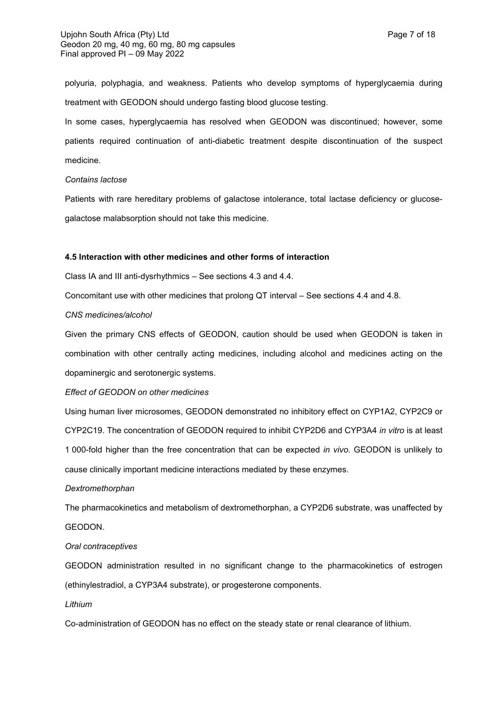polyuria, polyphagia, and weakness. Patients who develop symptoms of hyperglycaemia during treatment with GEODON should undergo fasting blood glucose testing.

In some cases, hyperglycaemia has resolved when GEODON was discontinued; however, some patients required continuation of anti-diabetic treatment despite discontinuation of the suspect medicine.

## *Contains lactose*

Patients with rare hereditary problems of galactose intolerance, total lactase deficiency or glucosegalactose malabsorption should not take this medicine.

#### **4.5 Interaction with other medicines and other forms of interaction**

Class IA and III anti-dysrhythmics – See sections 4.3 and 4.4.

Concomitant use with other medicines that prolong QT interval – See sections 4.4 and 4.8.

#### *CNS medicines/alcohol*

Given the primary CNS effects of GEODON, caution should be used when GEODON is taken in combination with other centrally acting medicines, including alcohol and medicines acting on the dopaminergic and serotonergic systems.

### *Effect of GEODON on other medicines*

Using human liver microsomes, GEODON demonstrated no inhibitory effect on CYP1A2, CYP2C9 or CYP2C19. The concentration of GEODON required to inhibit CYP2D6 and CYP3A4 *in vitro* is at least 1 000-fold higher than the free concentration that can be expected *in vivo*. GEODON is unlikely to cause clinically important medicine interactions mediated by these enzymes.

#### *Dextromethorphan*

The pharmacokinetics and metabolism of dextromethorphan, a CYP2D6 substrate, was unaffected by GEODON.

#### *Oral contraceptives*

GEODON administration resulted in no significant change to the pharmacokinetics of estrogen (ethinylestradiol, a CYP3A4 substrate), or progesterone components.

### *Lithium*

Co-administration of GEODON has no effect on the steady state or renal clearance of lithium.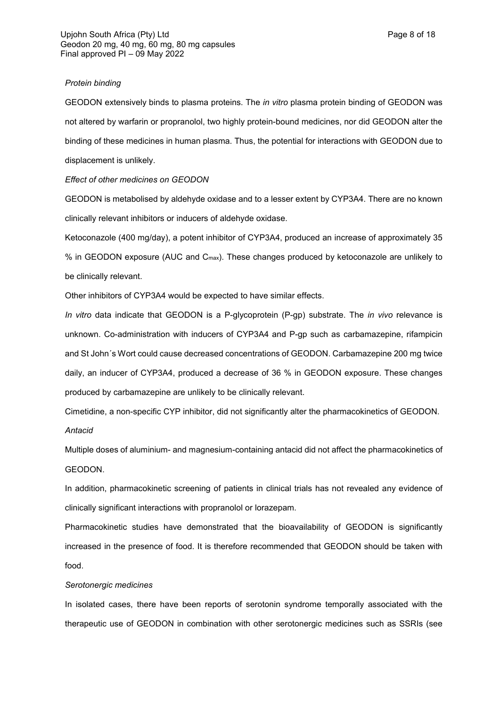#### *Protein binding*

GEODON extensively binds to plasma proteins. The *in vitro* plasma protein binding of GEODON was not altered by warfarin or propranolol, two highly protein-bound medicines, nor did GEODON alter the binding of these medicines in human plasma. Thus, the potential for interactions with GEODON due to displacement is unlikely.

#### *Effect of other medicines on GEODON*

GEODON is metabolised by aldehyde oxidase and to a lesser extent by CYP3A4. There are no known clinically relevant inhibitors or inducers of aldehyde oxidase.

Ketoconazole (400 mg/day), a potent inhibitor of CYP3A4, produced an increase of approximately 35 % in GEODON exposure (AUC and Cmax). These changes produced by ketoconazole are unlikely to be clinically relevant.

Other inhibitors of CYP3A4 would be expected to have similar effects.

*In vitro* data indicate that GEODON is a P-glycoprotein (P-gp) substrate. The *in vivo* relevance is unknown. Co-administration with inducers of CYP3A4 and P-gp such as carbamazepine, rifampicin and St John´s Wort could cause decreased concentrations of GEODON. Carbamazepine 200 mg twice daily, an inducer of CYP3A4, produced a decrease of 36 % in GEODON exposure. These changes produced by carbamazepine are unlikely to be clinically relevant.

Cimetidine, a non-specific CYP inhibitor, did not significantly alter the pharmacokinetics of GEODON. *Antacid*

Multiple doses of aluminium- and magnesium-containing antacid did not affect the pharmacokinetics of GEODON.

In addition, pharmacokinetic screening of patients in clinical trials has not revealed any evidence of clinically significant interactions with propranolol or lorazepam.

Pharmacokinetic studies have demonstrated that the bioavailability of GEODON is significantly increased in the presence of food. It is therefore recommended that GEODON should be taken with food.

### *Serotonergic medicines*

In isolated cases, there have been reports of serotonin syndrome temporally associated with the therapeutic use of GEODON in combination with other serotonergic medicines such as SSRIs (see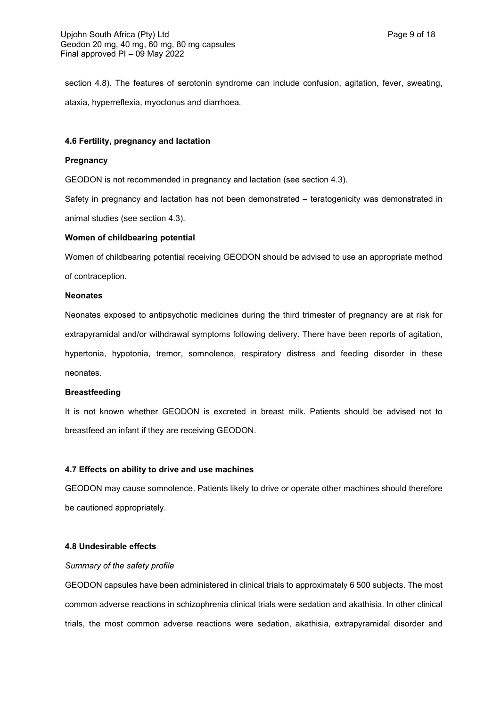section 4.8). The features of serotonin syndrome can include confusion, agitation, fever, sweating, ataxia, hyperreflexia, myoclonus and diarrhoea*.*

### **4.6 Fertility, pregnancy and lactation**

#### **Pregnancy**

GEODON is not recommended in pregnancy and lactation (see section 4.3).

Safety in pregnancy and lactation has not been demonstrated – teratogenicity was demonstrated in animal studies (see section 4.3).

#### **Women of childbearing potential**

Women of childbearing potential receiving GEODON should be advised to use an appropriate method of contraception.

#### **Neonates**

Neonates exposed to antipsychotic medicines during the third trimester of pregnancy are at risk for extrapyramidal and/or withdrawal symptoms following delivery. There have been reports of agitation, hypertonia, hypotonia, tremor, somnolence, respiratory distress and feeding disorder in these neonates.

### **Breastfeeding**

It is not known whether GEODON is excreted in breast milk. Patients should be advised not to breastfeed an infant if they are receiving GEODON.

### **4.7 Effects on ability to drive and use machines**

GEODON may cause somnolence. Patients likely to drive or operate other machines should therefore be cautioned appropriately.

### **4.8 Undesirable effects**

### *Summary of the safety profile*

GEODON capsules have been administered in clinical trials to approximately 6 500 subjects. The most common adverse reactions in schizophrenia clinical trials were sedation and akathisia. In other clinical trials, the most common adverse reactions were sedation, akathisia, extrapyramidal disorder and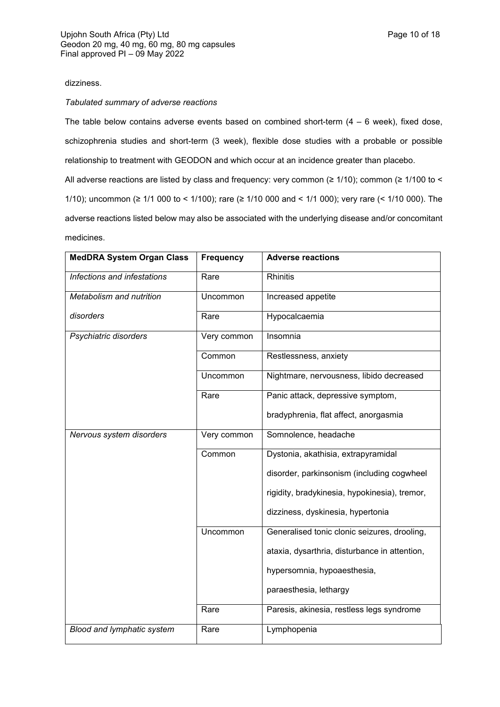# dizziness.

## *Tabulated summary of adverse reactions*

The table below contains adverse events based on combined short-term  $(4 - 6$  week), fixed dose, schizophrenia studies and short-term (3 week), flexible dose studies with a probable or possible relationship to treatment with GEODON and which occur at an incidence greater than placebo.

All adverse reactions are listed by class and frequency: very common (≥ 1/10); common (≥ 1/100 to < 1/10); uncommon (≥ 1/1 000 to < 1/100); rare (≥ 1/10 000 and < 1/1 000); very rare (< 1/10 000). The adverse reactions listed below may also be associated with the underlying disease and/or concomitant medicines.

| <b>MedDRA System Organ Class</b>  | <b>Frequency</b> | <b>Adverse reactions</b>                      |
|-----------------------------------|------------------|-----------------------------------------------|
| Infections and infestations       | Rare             | <b>Rhinitis</b>                               |
| Metabolism and nutrition          | Uncommon         | Increased appetite                            |
| disorders                         | Rare             | Hypocalcaemia                                 |
| Psychiatric disorders             | Very common      | Insomnia                                      |
|                                   | Common           | Restlessness, anxiety                         |
|                                   | Uncommon         | Nightmare, nervousness, libido decreased      |
|                                   | Rare             | Panic attack, depressive symptom,             |
|                                   |                  | bradyphrenia, flat affect, anorgasmia         |
| Nervous system disorders          | Very common      | Somnolence, headache                          |
|                                   | Common           | Dystonia, akathisia, extrapyramidal           |
|                                   |                  | disorder, parkinsonism (including cogwheel    |
|                                   |                  | rigidity, bradykinesia, hypokinesia), tremor, |
|                                   |                  | dizziness, dyskinesia, hypertonia             |
|                                   | Uncommon         | Generalised tonic clonic seizures, drooling,  |
|                                   |                  | ataxia, dysarthria, disturbance in attention, |
|                                   |                  | hypersomnia, hypoaesthesia,                   |
|                                   |                  | paraesthesia, lethargy                        |
|                                   | Rare             | Paresis, akinesia, restless legs syndrome     |
| <b>Blood and lymphatic system</b> | Rare             | Lymphopenia                                   |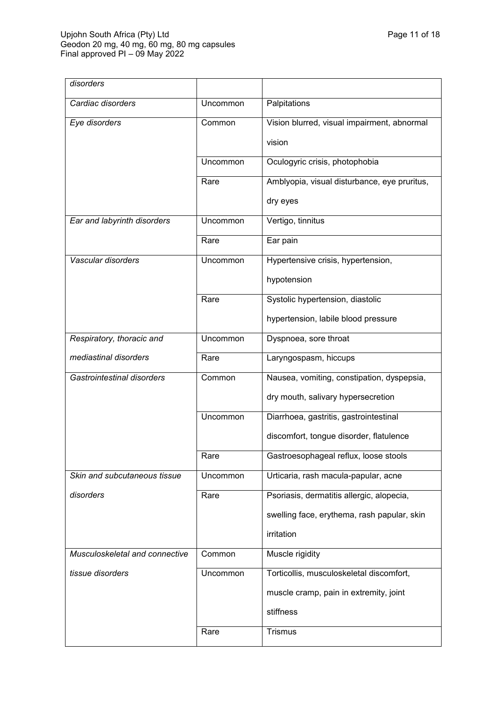| disorders                         |          |                                              |
|-----------------------------------|----------|----------------------------------------------|
| Cardiac disorders                 | Uncommon | Palpitations                                 |
| Eye disorders                     | Common   | Vision blurred, visual impairment, abnormal  |
|                                   |          | vision                                       |
|                                   | Uncommon | Oculogyric crisis, photophobia               |
|                                   | Rare     | Amblyopia, visual disturbance, eye pruritus, |
|                                   |          | dry eyes                                     |
| Ear and labyrinth disorders       | Uncommon | Vertigo, tinnitus                            |
|                                   | Rare     | Ear pain                                     |
| Vascular disorders                | Uncommon | Hypertensive crisis, hypertension,           |
|                                   |          | hypotension                                  |
|                                   | Rare     | Systolic hypertension, diastolic             |
|                                   |          | hypertension, labile blood pressure          |
| Respiratory, thoracic and         | Uncommon | Dyspnoea, sore throat                        |
| mediastinal disorders             | Rare     | Laryngospasm, hiccups                        |
| <b>Gastrointestinal disorders</b> | Common   | Nausea, vomiting, constipation, dyspepsia,   |
|                                   |          | dry mouth, salivary hypersecretion           |
|                                   | Uncommon | Diarrhoea, gastritis, gastrointestinal       |
|                                   |          | discomfort, tongue disorder, flatulence      |
|                                   | Rare     | Gastroesophageal reflux, loose stools        |
| Skin and subcutaneous tissue      | Uncommon | Urticaria, rash macula-papular, acne         |
| disorders                         | Rare     | Psoriasis, dermatitis allergic, alopecia,    |
|                                   |          | swelling face, erythema, rash papular, skin  |
|                                   |          | irritation                                   |
| Musculoskeletal and connective    | Common   | Muscle rigidity                              |
| tissue disorders                  | Uncommon | Torticollis, musculoskeletal discomfort,     |
|                                   |          | muscle cramp, pain in extremity, joint       |
|                                   |          | stiffness                                    |
|                                   | Rare     | <b>Trismus</b>                               |
|                                   |          |                                              |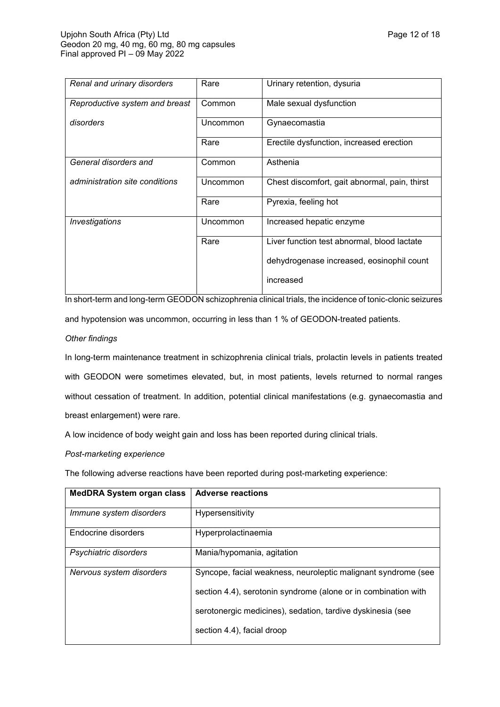| Renal and urinary disorders    | Rare     | Urinary retention, dysuria                    |
|--------------------------------|----------|-----------------------------------------------|
| Reproductive system and breast | Common   | Male sexual dysfunction                       |
| disorders                      | Uncommon | Gynaecomastia                                 |
|                                | Rare     | Erectile dysfunction, increased erection      |
| General disorders and          | Common   | Asthenia                                      |
| administration site conditions | Uncommon | Chest discomfort, gait abnormal, pain, thirst |
|                                | Rare     | Pyrexia, feeling hot                          |
| Investigations                 | Uncommon | Increased hepatic enzyme                      |
|                                | Rare     | Liver function test abnormal, blood lactate   |
|                                |          | dehydrogenase increased, eosinophil count     |
|                                |          | increased                                     |

In short-term and long-term GEODON schizophrenia clinical trials, the incidence of tonic-clonic seizures and hypotension was uncommon, occurring in less than 1 % of GEODON-treated patients.

## *Other findings*

In long-term maintenance treatment in schizophrenia clinical trials, prolactin levels in patients treated with GEODON were sometimes elevated, but, in most patients, levels returned to normal ranges without cessation of treatment. In addition, potential clinical manifestations (e.g. gynaecomastia and breast enlargement) were rare.

A low incidence of body weight gain and loss has been reported during clinical trials.

*Post-marketing experience*

The following adverse reactions have been reported during post-marketing experience:

| <b>MedDRA System organ class</b> | <b>Adverse reactions</b>                                                                                                        |
|----------------------------------|---------------------------------------------------------------------------------------------------------------------------------|
| Immune system disorders          | Hypersensitivity                                                                                                                |
| Endocrine disorders              | Hyperprolactinaemia                                                                                                             |
| Psychiatric disorders            | Mania/hypomania, agitation                                                                                                      |
| Nervous system disorders         | Syncope, facial weakness, neuroleptic malignant syndrome (see<br>section 4.4), serotonin syndrome (alone or in combination with |
|                                  | serotonergic medicines), sedation, tardive dyskinesia (see                                                                      |
|                                  | section 4.4), facial droop                                                                                                      |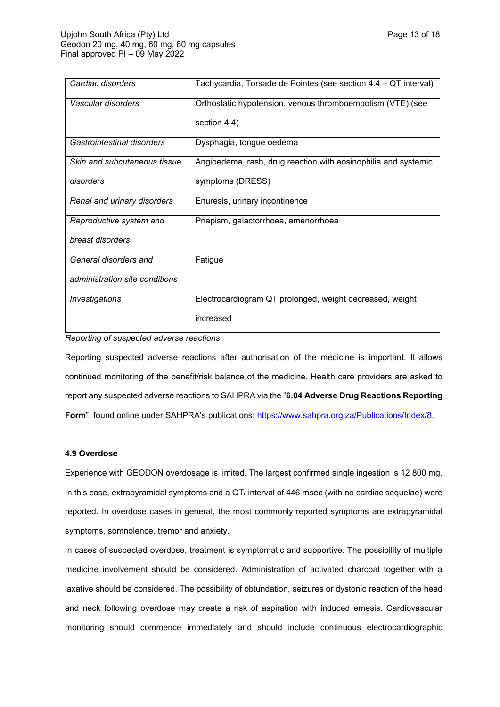| Cardiac disorders              | Tachycardia, Torsade de Pointes (see section 4.4 – QT interval) |
|--------------------------------|-----------------------------------------------------------------|
| Vascular disorders             | Orthostatic hypotension, venous thromboembolism (VTE) (see      |
|                                | section 4.4)                                                    |
| Gastrointestinal disorders     | Dysphagia, tongue oedema                                        |
| Skin and subcutaneous tissue   | Angioedema, rash, drug reaction with eosinophilia and systemic  |
| disorders                      | symptoms (DRESS)                                                |
| Renal and urinary disorders    | Enuresis, urinary incontinence                                  |
| Reproductive system and        | Priapism, galactorrhoea, amenorrhoea                            |
| breast disorders               |                                                                 |
| General disorders and          | Fatigue                                                         |
| administration site conditions |                                                                 |
| <i><b>Investigations</b></i>   | Electrocardiogram QT prolonged, weight decreased, weight        |
|                                | increased                                                       |

### *Reporting of suspected adverse reactions*

Reporting suspected adverse reactions after authorisation of the medicine is important. It allows continued monitoring of the benefit/risk balance of the medicine. Health care providers are asked to report any suspected adverse reactions to SAHPRA via the "**6.04 Adverse Drug Reactions Reporting Form**", found online under SAHPRA's publications:<https://www.sahpra.org.za/Publications/Index/8>.

### **4.9 Overdose**

Experience with GEODON overdosage is limited. The largest confirmed single ingestion is 12 800 mg. In this case, extrapyramidal symptoms and a  $QT_c$  interval of 446 msec (with no cardiac sequelae) were reported. In overdose cases in general, the most commonly reported symptoms are extrapyramidal symptoms, somnolence, tremor and anxiety.

In cases of suspected overdose, treatment is symptomatic and supportive. The possibility of multiple medicine involvement should be considered. Administration of activated charcoal together with a laxative should be considered. The possibility of obtundation, seizures or dystonic reaction of the head and neck following overdose may create a risk of aspiration with induced emesis. Cardiovascular monitoring should commence immediately and should include continuous electrocardiographic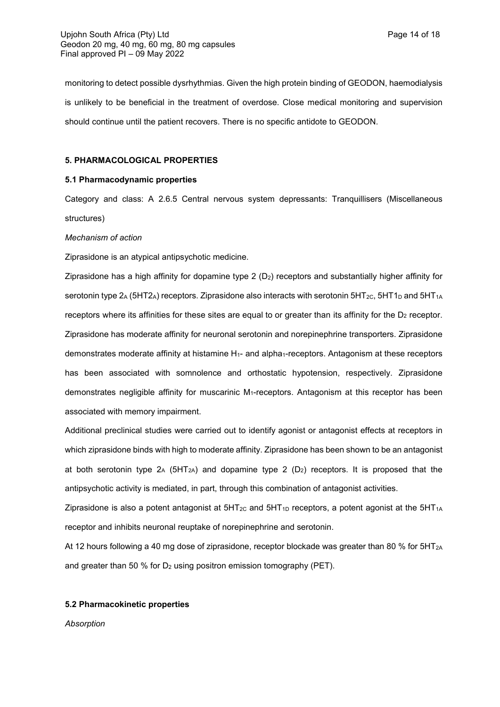monitoring to detect possible dysrhythmias. Given the high protein binding of GEODON, haemodialysis is unlikely to be beneficial in the treatment of overdose. Close medical monitoring and supervision should continue until the patient recovers. There is no specific antidote to GEODON.

### **5. PHARMACOLOGICAL PROPERTIES**

## **5.1 Pharmacodynamic properties**

Category and class: A 2.6.5 Central nervous system depressants: Tranquillisers (Miscellaneous structures)

## *Mechanism of action*

Ziprasidone is an atypical antipsychotic medicine.

Ziprasidone has a high affinity for dopamine type  $2 (D<sub>2</sub>)$  receptors and substantially higher affinity for serotonin type  $2_A$  (5HT2<sub>A</sub>) receptors. Ziprasidone also interacts with serotonin 5HT<sub>2C</sub>, 5HT1<sub>D</sub> and 5HT<sub>1A</sub> receptors where its affinities for these sites are equal to or greater than its affinity for the  $D_2$  receptor. Ziprasidone has moderate affinity for neuronal serotonin and norepinephrine transporters. Ziprasidone demonstrates moderate affinity at histamine H<sub>1</sub>- and alpha<sub>1</sub>-receptors. Antagonism at these receptors has been associated with somnolence and orthostatic hypotension, respectively. Ziprasidone demonstrates negligible affinity for muscarinic  $M_1$ -receptors. Antagonism at this receptor has been associated with memory impairment.

Additional preclinical studies were carried out to identify agonist or antagonist effects at receptors in which ziprasidone binds with high to moderate affinity. Ziprasidone has been shown to be an antagonist at both serotonin type  $2_A$  (5HT<sub>2A</sub>) and dopamine type 2 (D<sub>2</sub>) receptors. It is proposed that the antipsychotic activity is mediated, in part, through this combination of antagonist activities.

Ziprasidone is also a potent antagonist at  $5HT_{2C}$  and  $5HT_{1D}$  receptors, a potent agonist at the  $5HT_{1A}$ receptor and inhibits neuronal reuptake of norepinephrine and serotonin.

At 12 hours following a 40 mg dose of ziprasidone, receptor blockade was greater than 80 % for 5HT<sub>2A</sub> and greater than 50 % for  $D_2$  using positron emission tomography (PET).

### **5.2 Pharmacokinetic properties**

*Absorption*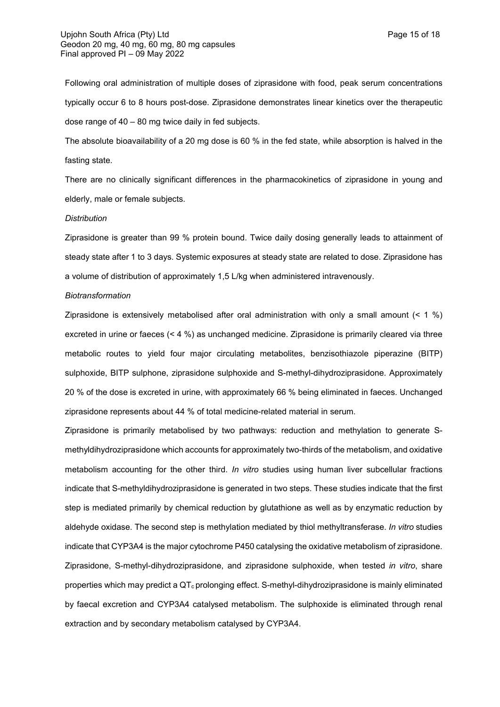Following oral administration of multiple doses of ziprasidone with food, peak serum concentrations typically occur 6 to 8 hours post-dose. Ziprasidone demonstrates linear kinetics over the therapeutic dose range of 40 – 80 mg twice daily in fed subjects.

The absolute bioavailability of a 20 mg dose is 60 % in the fed state, while absorption is halved in the fasting state.

There are no clinically significant differences in the pharmacokinetics of ziprasidone in young and elderly, male or female subjects.

#### *Distribution*

Ziprasidone is greater than 99 % protein bound. Twice daily dosing generally leads to attainment of steady state after 1 to 3 days. Systemic exposures at steady state are related to dose. Ziprasidone has a volume of distribution of approximately 1,5 L/kg when administered intravenously.

#### *Biotransformation*

Ziprasidone is extensively metabolised after oral administration with only a small amount  $(< 1 \%)$ excreted in urine or faeces (< 4 %) as unchanged medicine. Ziprasidone is primarily cleared via three metabolic routes to yield four major circulating metabolites, benzisothiazole piperazine (BITP) sulphoxide, BITP sulphone, ziprasidone sulphoxide and S-methyl-dihydroziprasidone. Approximately 20 % of the dose is excreted in urine, with approximately 66 % being eliminated in faeces. Unchanged ziprasidone represents about 44 % of total medicine-related material in serum.

Ziprasidone is primarily metabolised by two pathways: reduction and methylation to generate Smethyldihydroziprasidone which accounts for approximately two-thirds of the metabolism, and oxidative metabolism accounting for the other third. *In vitro* studies using human liver subcellular fractions indicate that S-methyldihydroziprasidone is generated in two steps. These studies indicate that the first step is mediated primarily by chemical reduction by glutathione as well as by enzymatic reduction by aldehyde oxidase. The second step is methylation mediated by thiol methyltransferase. *In vitro* studies indicate that CYP3A4 is the major cytochrome P450 catalysing the oxidative metabolism of ziprasidone. Ziprasidone, S-methyl-dihydroziprasidone, and ziprasidone sulphoxide, when tested *in vitro*, share properties which may predict a QT<sub>c</sub> prolonging effect. S-methyl-dihydroziprasidone is mainly eliminated by faecal excretion and CYP3A4 catalysed metabolism. The sulphoxide is eliminated through renal extraction and by secondary metabolism catalysed by CYP3A4.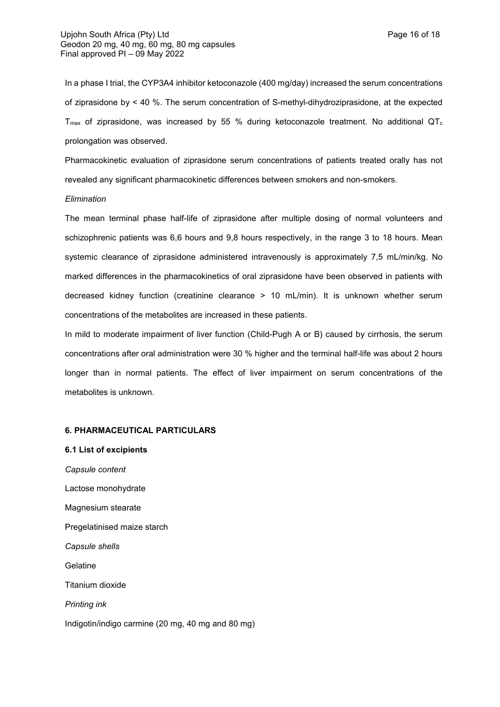In a phase I trial, the CYP3A4 inhibitor ketoconazole (400 mg/day) increased the serum concentrations of ziprasidone by < 40 %. The serum concentration of S-methyl-dihydroziprasidone, at the expected T<sub>max</sub> of ziprasidone, was increased by 55 % during ketoconazole treatment. No additional QT<sub>c</sub> prolongation was observed.

Pharmacokinetic evaluation of ziprasidone serum concentrations of patients treated orally has not revealed any significant pharmacokinetic differences between smokers and non-smokers.

### *Elimination*

The mean terminal phase half-life of ziprasidone after multiple dosing of normal volunteers and schizophrenic patients was 6,6 hours and 9,8 hours respectively, in the range 3 to 18 hours. Mean systemic clearance of ziprasidone administered intravenously is approximately 7,5 mL/min/kg. No marked differences in the pharmacokinetics of oral ziprasidone have been observed in patients with decreased kidney function (creatinine clearance > 10 mL/min). It is unknown whether serum concentrations of the metabolites are increased in these patients.

In mild to moderate impairment of liver function (Child-Pugh A or B) caused by cirrhosis, the serum concentrations after oral administration were 30 % higher and the terminal half-life was about 2 hours longer than in normal patients. The effect of liver impairment on serum concentrations of the metabolites is unknown.

#### **6. PHARMACEUTICAL PARTICULARS**

**6.1 List of excipients** *Capsule content* Lactose monohydrate Magnesium stearate Pregelatinised maize starch *Capsule shells* **Gelatine** Titanium dioxide *Printing ink* Indigotin/indigo carmine (20 mg, 40 mg and 80 mg)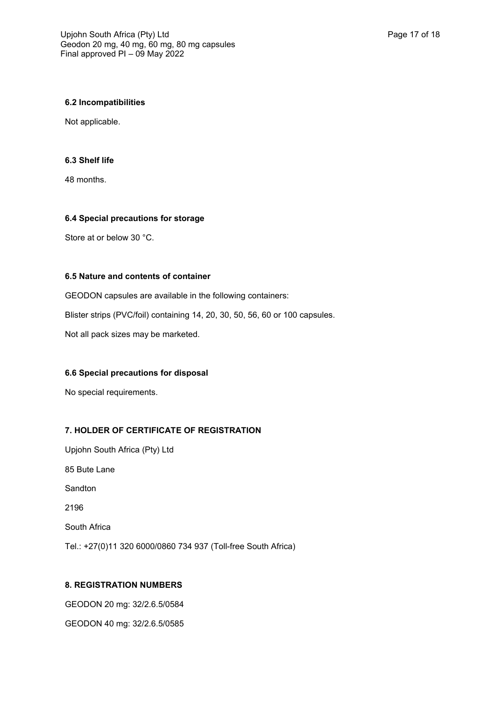### **6.2 Incompatibilities**

Not applicable.

## **6.3 Shelf life**

48 months.

## **6.4 Special precautions for storage**

Store at or below 30 °C.

## **6.5 Nature and contents of container**

GEODON capsules are available in the following containers: Blister strips (PVC/foil) containing 14, 20, 30, 50, 56, 60 or 100 capsules. Not all pack sizes may be marketed.

## **6.6 Special precautions for disposal**

No special requirements.

# **7. HOLDER OF CERTIFICATE OF REGISTRATION**

Upjohn South Africa (Pty) Ltd 85 Bute Lane Sandton 2196 South Africa Tel.: +27(0)11 320 6000/0860 734 937 (Toll-free South Africa)

# **8. REGISTRATION NUMBERS**

GEODON 20 mg: 32/2.6.5/0584 GEODON 40 mg: 32/2.6.5/0585